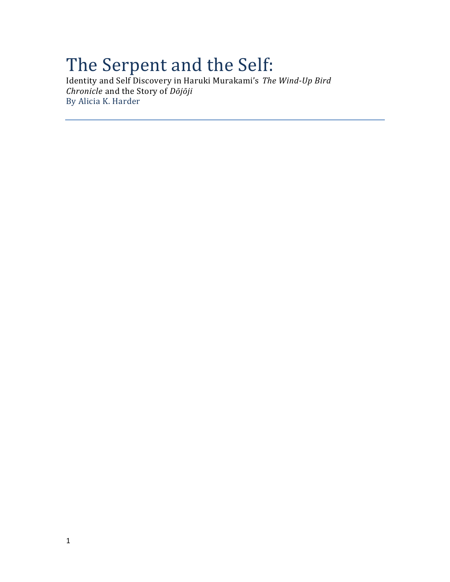# The Serpent and the Self:

Identity and Self Discovery in Haruki Murakami's *The Wind-Up Bird Chronicle* and the Story of *Dōjōji* By Alicia K. Harder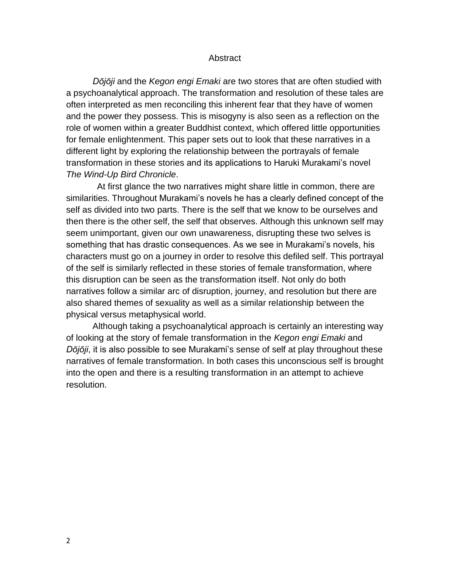#### **Abstract**

*Dōjōji* and the *Kegon engi Emaki* are two stores that are often studied with a psychoanalytical approach. The transformation and resolution of these tales are often interpreted as men reconciling this inherent fear that they have of women and the power they possess. This is misogyny is also seen as a reflection on the role of women within a greater Buddhist context, which offered little opportunities for female enlightenment. This paper sets out to look that these narratives in a different light by exploring the relationship between the portrayals of female transformation in these stories and its applications to Haruki Murakami's novel *The Wind-Up Bird Chronicle*.

At first glance the two narratives might share little in common, there are similarities. Throughout Murakami's novels he has a clearly defined concept of the self as divided into two parts. There is the self that we know to be ourselves and then there is the other self, the self that observes. Although this unknown self may seem unimportant, given our own unawareness, disrupting these two selves is something that has drastic consequences. As we see in Murakami's novels, his characters must go on a journey in order to resolve this defiled self. This portrayal of the self is similarly reflected in these stories of female transformation, where this disruption can be seen as the transformation itself. Not only do both narratives follow a similar arc of disruption, journey, and resolution but there are also shared themes of sexuality as well as a similar relationship between the physical versus metaphysical world.

Although taking a psychoanalytical approach is certainly an interesting way of looking at the story of female transformation in the *Kegon engi Emaki* and *Dōjōji*, it is also possible to see Murakami's sense of self at play throughout these narratives of female transformation. In both cases this unconscious self is brought into the open and there is a resulting transformation in an attempt to achieve resolution.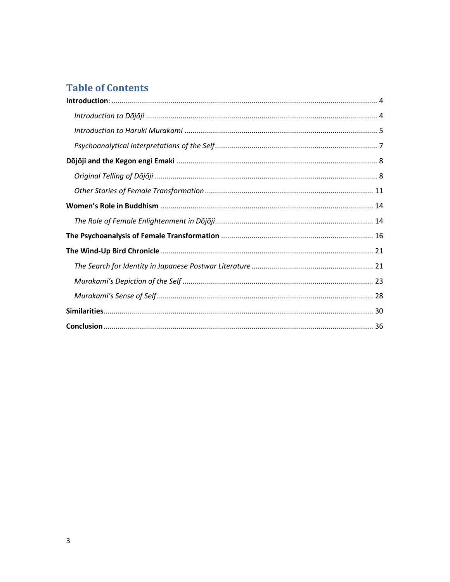# **Table of Contents**

<span id="page-2-0"></span>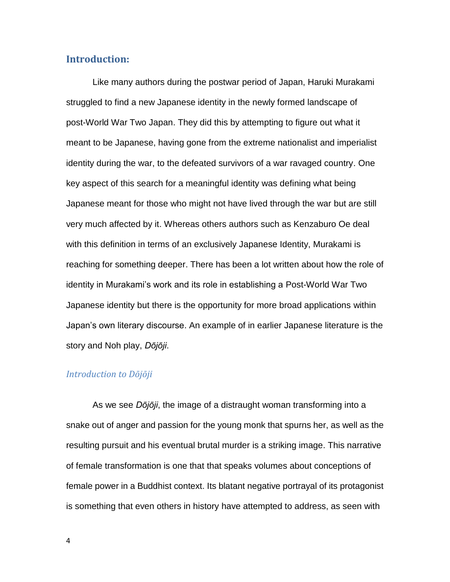# **Introduction:**

Like many authors during the postwar period of Japan, Haruki Murakami struggled to find a new Japanese identity in the newly formed landscape of post-World War Two Japan. They did this by attempting to figure out what it meant to be Japanese, having gone from the extreme nationalist and imperialist identity during the war, to the defeated survivors of a war ravaged country. One key aspect of this search for a meaningful identity was defining what being Japanese meant for those who might not have lived through the war but are still very much affected by it. Whereas others authors such as Kenzaburo Oe deal with this definition in terms of an exclusively Japanese Identity, Murakami is reaching for something deeper. There has been a lot written about how the role of identity in Murakami's work and its role in establishing a Post-World War Two Japanese identity but there is the opportunity for more broad applications within Japan's own literary discourse. An example of in earlier Japanese literature is the story and Noh play, *Dōjōji*.

#### <span id="page-3-0"></span>*Introduction to Dōjōji*

As we see *Dōjōji*, the image of a distraught woman transforming into a snake out of anger and passion for the young monk that spurns her, as well as the resulting pursuit and his eventual brutal murder is a striking image. This narrative of female transformation is one that that speaks volumes about conceptions of female power in a Buddhist context. Its blatant negative portrayal of its protagonist is something that even others in history have attempted to address, as seen with

4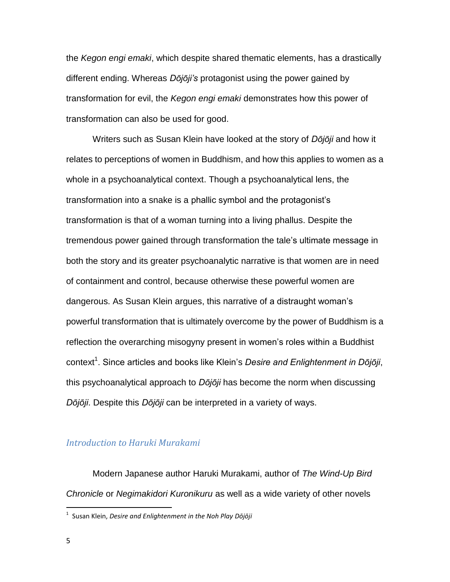the *Kegon engi emaki*, which despite shared thematic elements, has a drastically different ending. Whereas *Dōjōji's* protagonist using the power gained by transformation for evil, the *Kegon engi emaki* demonstrates how this power of transformation can also be used for good.

Writers such as Susan Klein have looked at the story of *Dōjōji* and how it relates to perceptions of women in Buddhism, and how this applies to women as a whole in a psychoanalytical context. Though a psychoanalytical lens, the transformation into a snake is a phallic symbol and the protagonist's transformation is that of a woman turning into a living phallus. Despite the tremendous power gained through transformation the tale's ultimate message in both the story and its greater psychoanalytic narrative is that women are in need of containment and control, because otherwise these powerful women are dangerous. As Susan Klein argues, this narrative of a distraught woman's powerful transformation that is ultimately overcome by the power of Buddhism is a reflection the overarching misogyny present in women's roles within a Buddhist context<sup>1</sup>. Since articles and books like Klein's Desire and Enlightenment in Dōjōji, this psychoanalytical approach to *Dōjōji* has become the norm when discussing *Dōjōji*. Despite this *Dōjōji* can be interpreted in a variety of ways.

#### <span id="page-4-0"></span>*Introduction to Haruki Murakami*

Modern Japanese author Haruki Murakami, author of *The Wind-Up Bird Chronicle* or *Negimakidori Kuronikuru* as well as a wide variety of other novels

 1 Susan Klein, *Desire and Enlightenment in the Noh Play Dōjōji*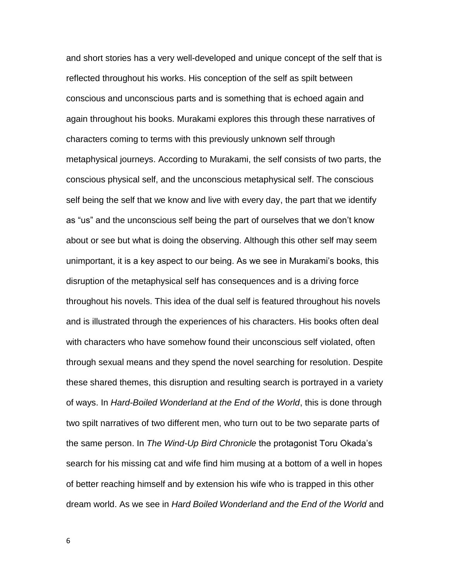and short stories has a very well-developed and unique concept of the self that is reflected throughout his works. His conception of the self as spilt between conscious and unconscious parts and is something that is echoed again and again throughout his books. Murakami explores this through these narratives of characters coming to terms with this previously unknown self through metaphysical journeys. According to Murakami, the self consists of two parts, the conscious physical self, and the unconscious metaphysical self. The conscious self being the self that we know and live with every day, the part that we identify as "us" and the unconscious self being the part of ourselves that we don't know about or see but what is doing the observing. Although this other self may seem unimportant, it is a key aspect to our being. As we see in Murakami's books, this disruption of the metaphysical self has consequences and is a driving force throughout his novels. This idea of the dual self is featured throughout his novels and is illustrated through the experiences of his characters. His books often deal with characters who have somehow found their unconscious self violated, often through sexual means and they spend the novel searching for resolution. Despite these shared themes, this disruption and resulting search is portrayed in a variety of ways. In *Hard-Boiled Wonderland at the End of the World*, this is done through two spilt narratives of two different men, who turn out to be two separate parts of the same person. In *The Wind-Up Bird Chronicle* the protagonist Toru Okada's search for his missing cat and wife find him musing at a bottom of a well in hopes of better reaching himself and by extension his wife who is trapped in this other dream world. As we see in *Hard Boiled Wonderland and the End of the World* and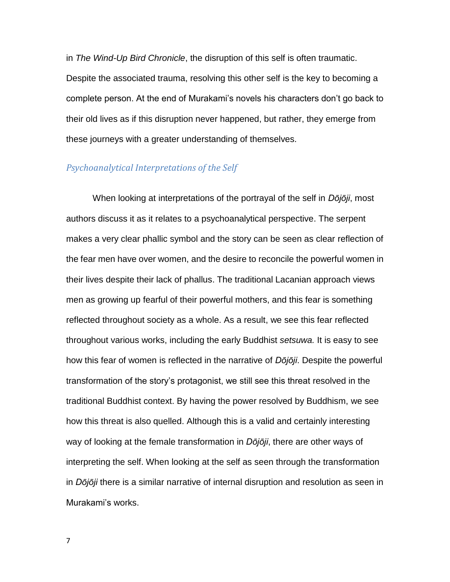in *The Wind-Up Bird Chronicle*, the disruption of this self is often traumatic. Despite the associated trauma, resolving this other self is the key to becoming a complete person. At the end of Murakami's novels his characters don't go back to their old lives as if this disruption never happened, but rather, they emerge from these journeys with a greater understanding of themselves.

#### <span id="page-6-0"></span>*Psychoanalytical Interpretations of the Self*

When looking at interpretations of the portrayal of the self in *Dōjōji*, most authors discuss it as it relates to a psychoanalytical perspective. The serpent makes a very clear phallic symbol and the story can be seen as clear reflection of the fear men have over women, and the desire to reconcile the powerful women in their lives despite their lack of phallus. The traditional Lacanian approach views men as growing up fearful of their powerful mothers, and this fear is something reflected throughout society as a whole. As a result, we see this fear reflected throughout various works, including the early Buddhist *setsuwa.* It is easy to see how this fear of women is reflected in the narrative of *Dōjōji*. Despite the powerful transformation of the story's protagonist, we still see this threat resolved in the traditional Buddhist context. By having the power resolved by Buddhism, we see how this threat is also quelled. Although this is a valid and certainly interesting way of looking at the female transformation in *Dōjōji*, there are other ways of interpreting the self. When looking at the self as seen through the transformation in *Dōjōji* there is a similar narrative of internal disruption and resolution as seen in Murakami's works.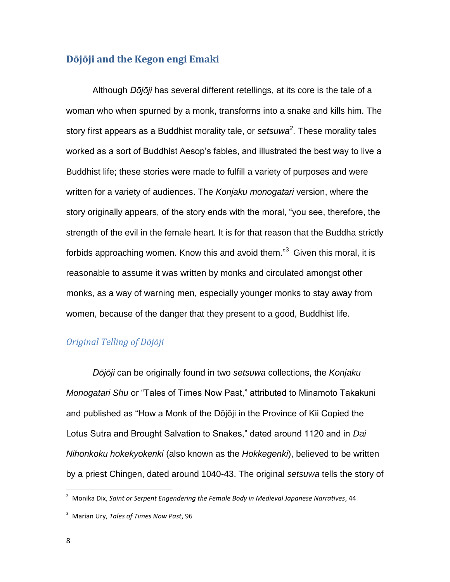# <span id="page-7-0"></span>**Dōjōji and the Kegon engi Emaki**

Although *Dōjōji* has several different retellings, at its core is the tale of a woman who when spurned by a monk, transforms into a snake and kills him. The story first appears as a Buddhist morality tale, or *setsuwa<sup>2</sup>* . These morality tales worked as a sort of Buddhist Aesop's fables, and illustrated the best way to live a Buddhist life; these stories were made to fulfill a variety of purposes and were written for a variety of audiences. The *Konjaku monogatari* version, where the story originally appears, of the story ends with the moral, "you see, therefore, the strength of the evil in the female heart. It is for that reason that the Buddha strictly forbids approaching women. Know this and avoid them."<sup>3</sup> Given this moral, it is reasonable to assume it was written by monks and circulated amongst other monks, as a way of warning men, especially younger monks to stay away from women, because of the danger that they present to a good, Buddhist life.

# <span id="page-7-1"></span>*Original Telling of Dōjōji*

*Dōjōji* can be originally found in two *setsuwa* collections, the *Konjaku Monogatari Shu* or "Tales of Times Now Past," attributed to Minamoto Takakuni and published as "How a Monk of the Dōjōji in the Province of Kii Copied the Lotus Sutra and Brought Salvation to Snakes," dated around 1120 and in *Dai Nihonkoku hokekyokenki* (also known as the *Hokkegenki*), believed to be written by a priest Chingen, dated around 1040-43. The original *setsuwa* tells the story of

<sup>2</sup> Monika Dix, *Saint or Serpent Engendering the Female Body in Medieval Japanese Narratives*, 44

<sup>3</sup> Marian Ury, *Tales of Times Now Past*, 96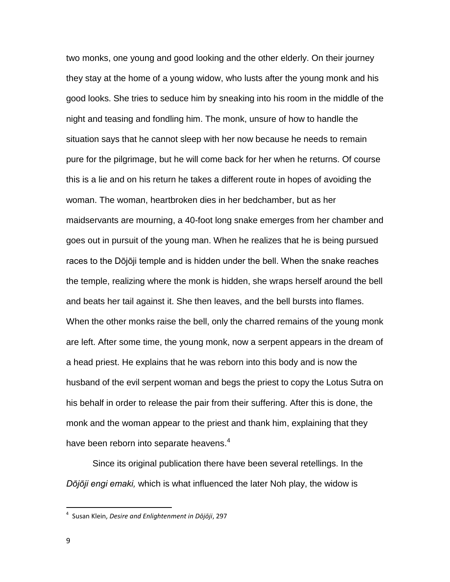two monks, one young and good looking and the other elderly. On their journey they stay at the home of a young widow, who lusts after the young monk and his good looks. She tries to seduce him by sneaking into his room in the middle of the night and teasing and fondling him. The monk, unsure of how to handle the situation says that he cannot sleep with her now because he needs to remain pure for the pilgrimage, but he will come back for her when he returns. Of course this is a lie and on his return he takes a different route in hopes of avoiding the woman. The woman, heartbroken dies in her bedchamber, but as her maidservants are mourning, a 40-foot long snake emerges from her chamber and goes out in pursuit of the young man. When he realizes that he is being pursued races to the Dōjōji temple and is hidden under the bell. When the snake reaches the temple, realizing where the monk is hidden, she wraps herself around the bell and beats her tail against it. She then leaves, and the bell bursts into flames. When the other monks raise the bell, only the charred remains of the young monk are left. After some time, the young monk, now a serpent appears in the dream of a head priest. He explains that he was reborn into this body and is now the husband of the evil serpent woman and begs the priest to copy the Lotus Sutra on his behalf in order to release the pair from their suffering. After this is done, the monk and the woman appear to the priest and thank him, explaining that they have been reborn into separate heavens. $4$ 

Since its original publication there have been several retellings. In the *Dōjōji engi emaki,* which is what influenced the later Noh play, the widow is

 4 Susan Klein, *Desire and Enlightenment in Dōjōji*, 297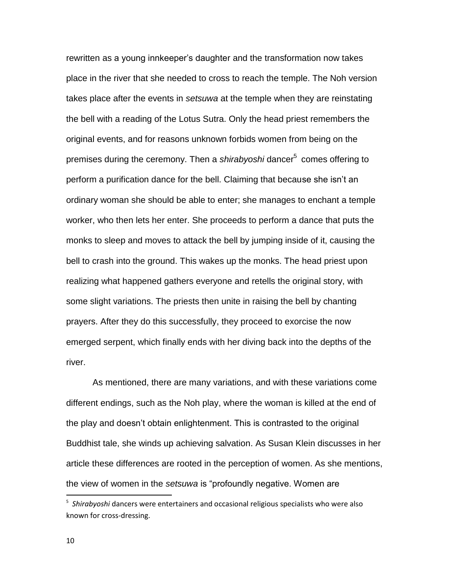rewritten as a young innkeeper's daughter and the transformation now takes place in the river that she needed to cross to reach the temple. The Noh version takes place after the events in *setsuwa* at the temple when they are reinstating the bell with a reading of the Lotus Sutra. Only the head priest remembers the original events, and for reasons unknown forbids women from being on the premises during the ceremony. Then a *shirabyoshi* dancer<sup>5</sup> comes offering to perform a purification dance for the bell. Claiming that because she isn't an ordinary woman she should be able to enter; she manages to enchant a temple worker, who then lets her enter. She proceeds to perform a dance that puts the monks to sleep and moves to attack the bell by jumping inside of it, causing the bell to crash into the ground. This wakes up the monks. The head priest upon realizing what happened gathers everyone and retells the original story, with some slight variations. The priests then unite in raising the bell by chanting prayers. After they do this successfully, they proceed to exorcise the now emerged serpent, which finally ends with her diving back into the depths of the river.

As mentioned, there are many variations, and with these variations come different endings, such as the Noh play, where the woman is killed at the end of the play and doesn't obtain enlightenment. This is contrasted to the original Buddhist tale, she winds up achieving salvation. As Susan Klein discusses in her article these differences are rooted in the perception of women. As she mentions, the view of women in the *setsuwa* is "profoundly negative. Women are

 $\overline{a}$ 

<sup>5</sup> *Shirabyoshi* dancers were entertainers and occasional religious specialists who were also known for cross-dressing.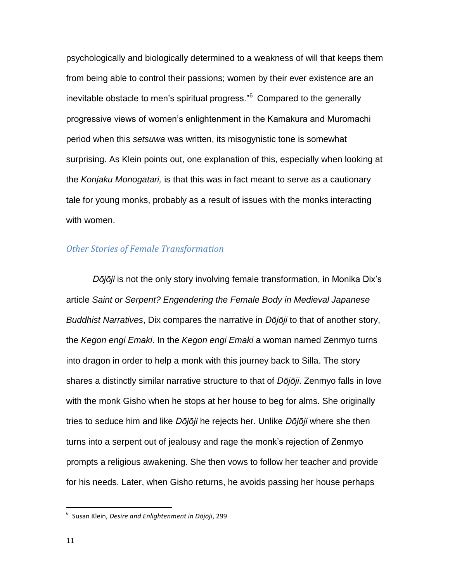psychologically and biologically determined to a weakness of will that keeps them from being able to control their passions; women by their ever existence are an inevitable obstacle to men's spiritual progress."<sup>6</sup> Compared to the generally progressive views of women's enlightenment in the Kamakura and Muromachi period when this *setsuwa* was written, its misogynistic tone is somewhat surprising. As Klein points out, one explanation of this, especially when looking at the *Konjaku Monogatari,* is that this was in fact meant to serve as a cautionary tale for young monks, probably as a result of issues with the monks interacting with women.

#### <span id="page-10-0"></span>*Other Stories of Female Transformation*

*Dōjōji* is not the only story involving female transformation, in Monika Dix's article *Saint or Serpent? Engendering the Female Body in Medieval Japanese Buddhist Narratives*, Dix compares the narrative in *Dōjōji* to that of another story, the *Kegon engi Emaki*. In the *Kegon engi Emaki* a woman named Zenmyo turns into dragon in order to help a monk with this journey back to Silla. The story shares a distinctly similar narrative structure to that of *Dōjōji*. Zenmyo falls in love with the monk Gisho when he stops at her house to beg for alms. She originally tries to seduce him and like *Dōjōji* he rejects her. Unlike *Dōjōji* where she then turns into a serpent out of jealousy and rage the monk's rejection of Zenmyo prompts a religious awakening. She then vows to follow her teacher and provide for his needs. Later, when Gisho returns, he avoids passing her house perhaps

 6 Susan Klein, *Desire and Enlightenment in Dōjōji*, 299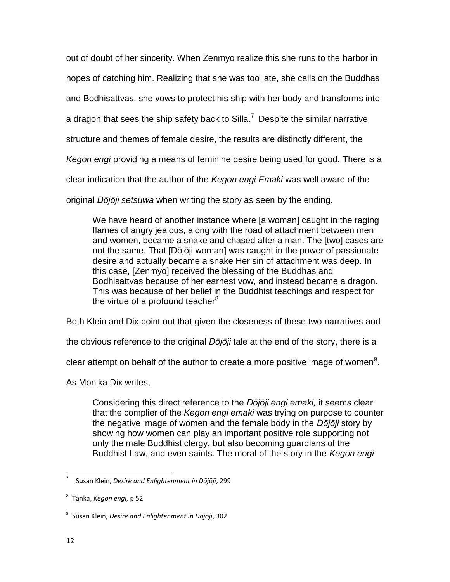out of doubt of her sincerity. When Zenmyo realize this she runs to the harbor in

hopes of catching him. Realizing that she was too late, she calls on the Buddhas

and Bodhisattvas, she vows to protect his ship with her body and transforms into

a dragon that sees the ship safety back to Silla.<sup>7</sup> Despite the similar narrative

structure and themes of female desire, the results are distinctly different, the

*Kegon engi* providing a means of feminine desire being used for good. There is a

clear indication that the author of the *Kegon engi Emaki* was well aware of the

original *Dōjōji setsuwa* when writing the story as seen by the ending.

We have heard of another instance where [a woman] caught in the raging flames of angry jealous, along with the road of attachment between men and women, became a snake and chased after a man. The [two] cases are not the same. That [Dōjōji woman] was caught in the power of passionate desire and actually became a snake Her sin of attachment was deep. In this case, [Zenmyo] received the blessing of the Buddhas and Bodhisattvas because of her earnest vow, and instead became a dragon. This was because of her belief in the Buddhist teachings and respect for the virtue of a profound teacher $8$ 

Both Klein and Dix point out that given the closeness of these two narratives and

the obvious reference to the original *Dōjōji* tale at the end of the story, there is a

clear attempt on behalf of the author to create a more positive image of women<sup>9</sup>.

As Monika Dix writes,

Considering this direct reference to the *Dōjōji engi emaki,* it seems clear that the complier of the *Kegon engi emaki* was trying on purpose to counter the negative image of women and the female body in the *Dōjōji* story by showing how women can play an important positive role supporting not only the male Buddhist clergy, but also becoming guardians of the Buddhist Law, and even saints. The moral of the story in the *Kegon engi* 

<sup>7</sup> Susan Klein, *Desire and Enlightenment in Dōjōji*, 299

<sup>8</sup> Tanka, *Kegon engi,* p 52

<sup>9</sup> Susan Klein, *Desire and Enlightenment in Dōjōji*, 302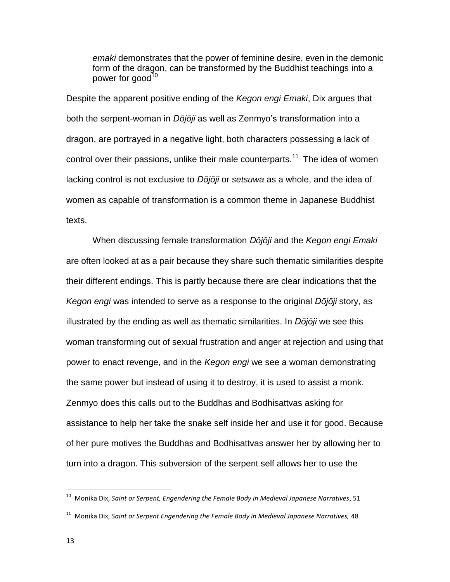emaki demonstrates that the power of feminine desire, even in the demonic form of the dragon, can be transformed by the Buddhist teachings into a power for good $10<sup>10</sup>$ 

Despite the apparent positive ending of the *Kegon engi Emaki*, Dix argues that both the serpent-woman in *Dōjōji* as well as Zenmyo's transformation into a dragon, are portrayed in a negative light, both characters possessing a lack of control over their passions, unlike their male counterparts.<sup>11</sup> The idea of women lacking control is not exclusive to *Dōjōji* or *setsuwa* as a whole, and the idea of women as capable of transformation is a common theme in Japanese Buddhist texts.

When discussing female transformation *Dōjōji* and the *Kegon engi Emaki*  are often looked at as a pair because they share such thematic similarities despite their different endings. This is partly because there are clear indications that the *Kegon engi* was intended to serve as a response to the original *Dōjōji* story, as illustrated by the ending as well as thematic similarities. In *Dōjōji* we see this woman transforming out of sexual frustration and anger at rejection and using that power to enact revenge, and in the *Kegon engi* we see a woman demonstrating the same power but instead of using it to destroy, it is used to assist a monk. Zenmyo does this calls out to the Buddhas and Bodhisattvas asking for assistance to help her take the snake self inside her and use it for good. Because of her pure motives the Buddhas and Bodhisattvas answer her by allowing her to turn into a dragon. This subversion of the serpent self allows her to use the

<sup>&</sup>lt;sup>10</sup> Monika Dix, Saint or Serpent, Engendering the Female Body in Medieval Japanese Narratives, 51

<sup>11</sup> Monika Dix, *Saint or Serpent Engendering the Female Body in Medieval Japanese Narratives,* 48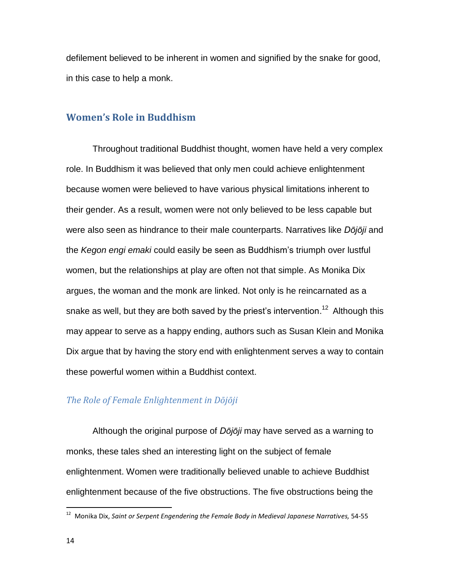defilement believed to be inherent in women and signified by the snake for good, in this case to help a monk.

#### <span id="page-13-0"></span>**Women's Role in Buddhism**

Throughout traditional Buddhist thought, women have held a very complex role. In Buddhism it was believed that only men could achieve enlightenment because women were believed to have various physical limitations inherent to their gender. As a result, women were not only believed to be less capable but were also seen as hindrance to their male counterparts. Narratives like *Dōjōji* and the *Kegon engi emaki* could easily be seen as Buddhism's triumph over lustful women, but the relationships at play are often not that simple. As Monika Dix argues, the woman and the monk are linked. Not only is he reincarnated as a snake as well, but they are both saved by the priest's intervention.<sup>12</sup> Although this may appear to serve as a happy ending, authors such as Susan Klein and Monika Dix argue that by having the story end with enlightenment serves a way to contain these powerful women within a Buddhist context.

#### <span id="page-13-1"></span>*The Role of Female Enlightenment in Dōjōji*

Although the original purpose of *Dōjōji* may have served as a warning to monks, these tales shed an interesting light on the subject of female enlightenment. Women were traditionally believed unable to achieve Buddhist enlightenment because of the five obstructions. The five obstructions being the

<sup>12</sup> Monika Dix, *Saint or Serpent Engendering the Female Body in Medieval Japanese Narratives,* 54-55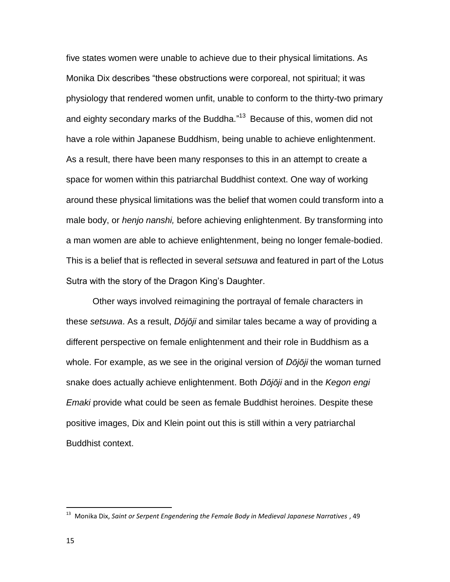five states women were unable to achieve due to their physical limitations. As Monika Dix describes "these obstructions were corporeal, not spiritual; it was physiology that rendered women unfit, unable to conform to the thirty-two primary and eighty secondary marks of the Buddha."<sup>13</sup> Because of this, women did not have a role within Japanese Buddhism, being unable to achieve enlightenment. As a result, there have been many responses to this in an attempt to create a space for women within this patriarchal Buddhist context. One way of working around these physical limitations was the belief that women could transform into a male body, or *henjo nanshi,* before achieving enlightenment. By transforming into a man women are able to achieve enlightenment, being no longer female-bodied. This is a belief that is reflected in several *setsuwa* and featured in part of the Lotus Sutra with the story of the Dragon King's Daughter.

Other ways involved reimagining the portrayal of female characters in these *setsuwa*. As a result, *Dōjōji* and similar tales became a way of providing a different perspective on female enlightenment and their role in Buddhism as a whole. For example, as we see in the original version of *Dōjōji* the woman turned snake does actually achieve enlightenment. Both *Dōjōji* and in the *Kegon engi Emaki* provide what could be seen as female Buddhist heroines. Despite these positive images, Dix and Klein point out this is still within a very patriarchal Buddhist context.

<sup>13</sup> Monika Dix, *Saint or Serpent Engendering the Female Body in Medieval Japanese Narratives* , 49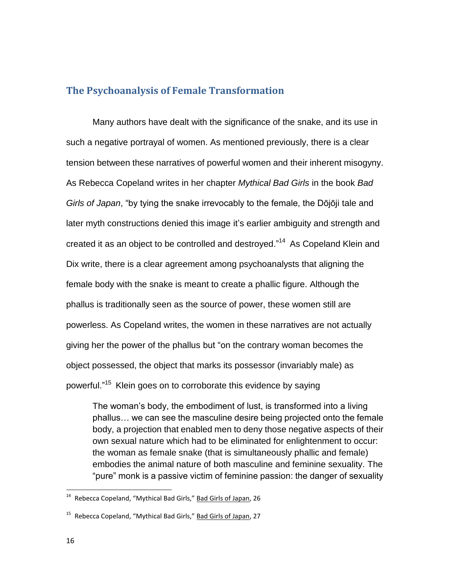# <span id="page-15-0"></span>**The Psychoanalysis of Female Transformation**

Many authors have dealt with the significance of the snake, and its use in such a negative portrayal of women. As mentioned previously, there is a clear tension between these narratives of powerful women and their inherent misogyny. As Rebecca Copeland writes in her chapter *Mythical Bad Girls* in the book *Bad Girls of Japan*, "by tying the snake irrevocably to the female, the Dōjōji tale and later myth constructions denied this image it's earlier ambiguity and strength and created it as an object to be controlled and destroyed."<sup>14</sup> As Copeland Klein and Dix write, there is a clear agreement among psychoanalysts that aligning the female body with the snake is meant to create a phallic figure. Although the phallus is traditionally seen as the source of power, these women still are powerless. As Copeland writes, the women in these narratives are not actually giving her the power of the phallus but "on the contrary woman becomes the object possessed, the object that marks its possessor (invariably male) as powerful."<sup>15</sup> Klein goes on to corroborate this evidence by saying

The woman's body, the embodiment of lust, is transformed into a living phallus… we can see the masculine desire being projected onto the female body, a projection that enabled men to deny those negative aspects of their own sexual nature which had to be eliminated for enlightenment to occur: the woman as female snake (that is simultaneously phallic and female) embodies the animal nature of both masculine and feminine sexuality. The "pure" monk is a passive victim of feminine passion: the danger of sexuality

<sup>&</sup>lt;sup>14</sup> Rebecca Copeland, "Mythical Bad Girls," **Bad Girls of Japan**, 26

<sup>&</sup>lt;sup>15</sup> Rebecca Copeland, "Mythical Bad Girls," Bad Girls of Japan, 27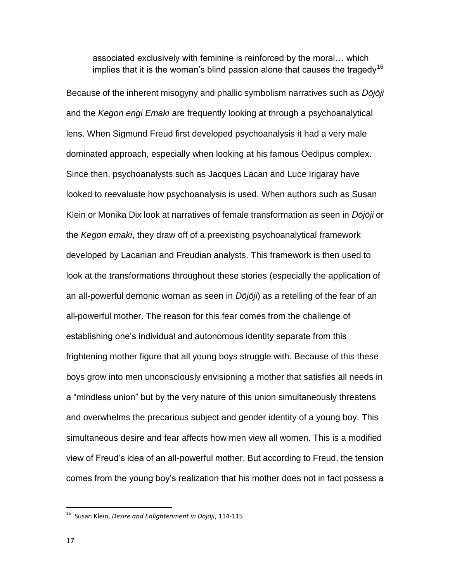associated exclusively with feminine is reinforced by the moral… which implies that it is the woman's blind passion alone that causes the tragedy<sup>16</sup>

Because of the inherent misogyny and phallic symbolism narratives such as *Dōjōji* and the *Kegon engi Emaki* are frequently looking at through a psychoanalytical lens. When Sigmund Freud first developed psychoanalysis it had a very male dominated approach, especially when looking at his famous Oedipus complex. Since then, psychoanalysts such as Jacques Lacan and Luce Irigaray have looked to reevaluate how psychoanalysis is used. When authors such as Susan Klein or Monika Dix look at narratives of female transformation as seen in *Dōjōji* or the *Kegon emaki*, they draw off of a preexisting psychoanalytical framework developed by Lacanian and Freudian analysts. This framework is then used to look at the transformations throughout these stories (especially the application of an all-powerful demonic woman as seen in *Dōjōji*) as a retelling of the fear of an all-powerful mother. The reason for this fear comes from the challenge of establishing one's individual and autonomous identity separate from this frightening mother figure that all young boys struggle with. Because of this these boys grow into men unconsciously envisioning a mother that satisfies all needs in a "mindless union" but by the very nature of this union simultaneously threatens and overwhelms the precarious subject and gender identity of a young boy. This simultaneous desire and fear affects how men view all women. This is a modified view of Freud's idea of an all-powerful mother. But according to Freud, the tension comes from the young boy's realization that his mother does not in fact possess a

<sup>16</sup> Susan Klein, *Desire and Enlightenment in Dōjōji*, 114-115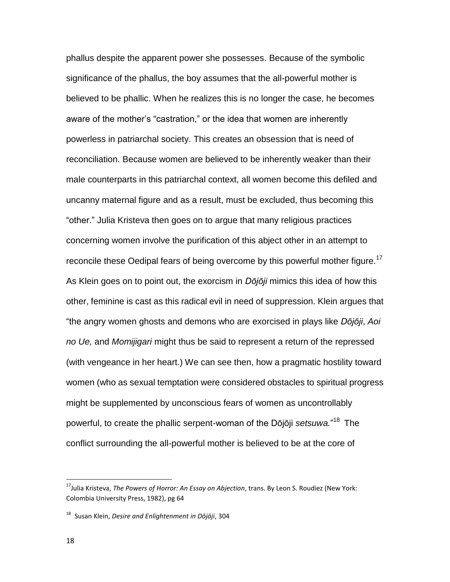phallus despite the apparent power she possesses. Because of the symbolic significance of the phallus, the boy assumes that the all-powerful mother is believed to be phallic. When he realizes this is no longer the case, he becomes aware of the mother's "castration," or the idea that women are inherently powerless in patriarchal society. This creates an obsession that is need of reconciliation. Because women are believed to be inherently weaker than their male counterparts in this patriarchal context, all women become this defiled and uncanny maternal figure and as a result, must be excluded, thus becoming this "other." Julia Kristeva then goes on to argue that many religious practices concerning women involve the purification of this abject other in an attempt to reconcile these Oedipal fears of being overcome by this powerful mother figure.<sup>17</sup> As Klein goes on to point out, the exorcism in *Dōjōji* mimics this idea of how this other, feminine is cast as this radical evil in need of suppression. Klein argues that "the angry women ghosts and demons who are exorcised in plays like *Dōjōji*, *Aoi no Ue,* and *Momijigari* might thus be said to represent a return of the repressed (with vengeance in her heart.) We can see then, how a pragmatic hostility toward women (who as sexual temptation were considered obstacles to spiritual progress might be supplemented by unconscious fears of women as uncontrollably powerful, to create the phallic serpent-woman of the Dōjōji *setsuwa.*" <sup>18</sup> The conflict surrounding the all-powerful mother is believed to be at the core of

<sup>17</sup>Julia Kristeva, *The Powers of Horror: An Essay on Abjection*, trans. By Leon S. Roudiez (New York: Colombia University Press, 1982), pg 64

<sup>18</sup> Susan Klein, *Desire and Enlightenment in Dōjōji*, 304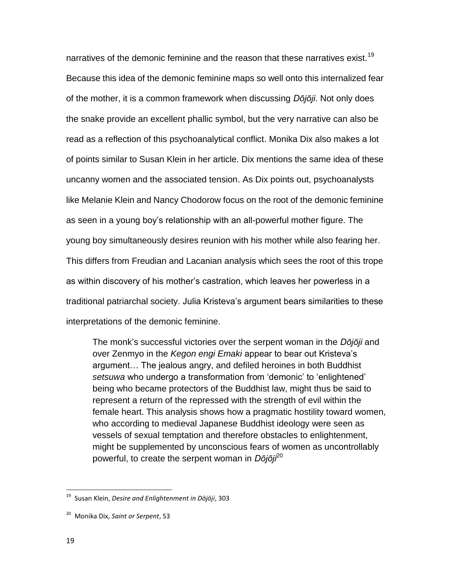narratives of the demonic feminine and the reason that these narratives exist.<sup>19</sup> Because this idea of the demonic feminine maps so well onto this internalized fear of the mother, it is a common framework when discussing *Dōjōji*. Not only does the snake provide an excellent phallic symbol, but the very narrative can also be read as a reflection of this psychoanalytical conflict. Monika Dix also makes a lot of points similar to Susan Klein in her article. Dix mentions the same idea of these uncanny women and the associated tension. As Dix points out, psychoanalysts like Melanie Klein and Nancy Chodorow focus on the root of the demonic feminine as seen in a young boy's relationship with an all-powerful mother figure. The young boy simultaneously desires reunion with his mother while also fearing her. This differs from Freudian and Lacanian analysis which sees the root of this trope as within discovery of his mother's castration, which leaves her powerless in a traditional patriarchal society. Julia Kristeva's argument bears similarities to these interpretations of the demonic feminine.

The monk's successful victories over the serpent woman in the *Dōjōji* and over Zenmyo in the *Kegon engi Emaki* appear to bear out Kristeva's argument… The jealous angry, and defiled heroines in both Buddhist *setsuwa* who undergo a transformation from 'demonic' to 'enlightened' being who became protectors of the Buddhist law, might thus be said to represent a return of the repressed with the strength of evil within the female heart. This analysis shows how a pragmatic hostility toward women, who according to medieval Japanese Buddhist ideology were seen as vessels of sexual temptation and therefore obstacles to enlightenment, might be supplemented by unconscious fears of women as uncontrollably powerful, to create the serpent woman in *Dōjōji*<sup>20</sup>

<sup>19</sup> Susan Klein, *Desire and Enlightenment in Dōjōji*, 303

<sup>20</sup> Monika Dix, *Saint or Serpent*, 53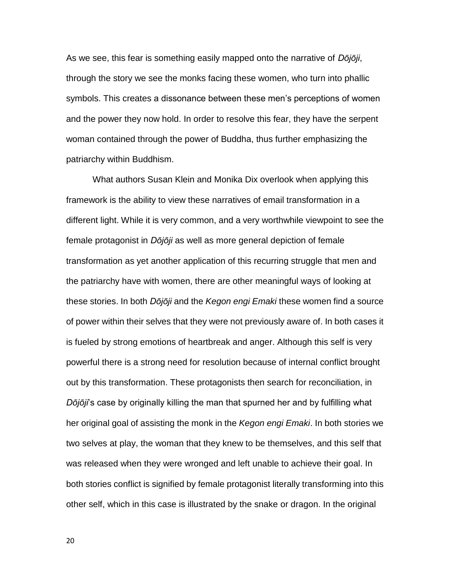As we see, this fear is something easily mapped onto the narrative of *Dōjōji*, through the story we see the monks facing these women, who turn into phallic symbols. This creates a dissonance between these men's perceptions of women and the power they now hold. In order to resolve this fear, they have the serpent woman contained through the power of Buddha, thus further emphasizing the patriarchy within Buddhism.

What authors Susan Klein and Monika Dix overlook when applying this framework is the ability to view these narratives of email transformation in a different light. While it is very common, and a very worthwhile viewpoint to see the female protagonist in *Dōjōji* as well as more general depiction of female transformation as yet another application of this recurring struggle that men and the patriarchy have with women, there are other meaningful ways of looking at these stories. In both *Dōjōji* and the *Kegon engi Emaki* these women find a source of power within their selves that they were not previously aware of. In both cases it is fueled by strong emotions of heartbreak and anger. Although this self is very powerful there is a strong need for resolution because of internal conflict brought out by this transformation. These protagonists then search for reconciliation, in *Dōjōji*'s case by originally killing the man that spurned her and by fulfilling what her original goal of assisting the monk in the *Kegon engi Emaki*. In both stories we two selves at play, the woman that they knew to be themselves, and this self that was released when they were wronged and left unable to achieve their goal. In both stories conflict is signified by female protagonist literally transforming into this other self, which in this case is illustrated by the snake or dragon. In the original

20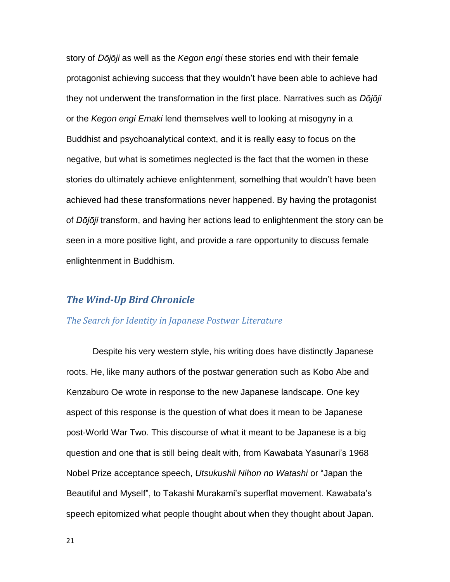story of *Dōjōji* as well as the *Kegon engi* these stories end with their female protagonist achieving success that they wouldn't have been able to achieve had they not underwent the transformation in the first place. Narratives such as *Dōjōji*  or the *Kegon engi Emaki* lend themselves well to looking at misogyny in a Buddhist and psychoanalytical context, and it is really easy to focus on the negative, but what is sometimes neglected is the fact that the women in these stories do ultimately achieve enlightenment, something that wouldn't have been achieved had these transformations never happened. By having the protagonist of *Dōjōji* transform, and having her actions lead to enlightenment the story can be seen in a more positive light, and provide a rare opportunity to discuss female enlightenment in Buddhism.

# <span id="page-20-0"></span>*The Wind-Up Bird Chronicle*

#### <span id="page-20-1"></span>*The Search for Identity in Japanese Postwar Literature*

Despite his very western style, his writing does have distinctly Japanese roots. He, like many authors of the postwar generation such as Kobo Abe and Kenzaburo Oe wrote in response to the new Japanese landscape. One key aspect of this response is the question of what does it mean to be Japanese post-World War Two. This discourse of what it meant to be Japanese is a big question and one that is still being dealt with, from Kawabata Yasunari's 1968 Nobel Prize acceptance speech, *Utsukushii Nihon no Watashi* or "Japan the Beautiful and Myself", to Takashi Murakami's superflat movement. Kawabata's speech epitomized what people thought about when they thought about Japan.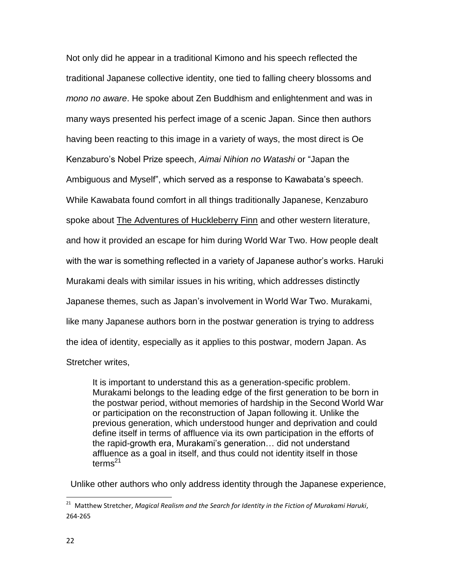Not only did he appear in a traditional Kimono and his speech reflected the traditional Japanese collective identity, one tied to falling cheery blossoms and *mono no aware*. He spoke about Zen Buddhism and enlightenment and was in many ways presented his perfect image of a scenic Japan. Since then authors having been reacting to this image in a variety of ways, the most direct is Oe Kenzaburo's Nobel Prize speech, *Aimai Nihion no Watashi* or "Japan the Ambiguous and Myself", which served as a response to Kawabata's speech. While Kawabata found comfort in all things traditionally Japanese, Kenzaburo spoke about The Adventures of Huckleberry Finn and other western literature, and how it provided an escape for him during World War Two. How people dealt with the war is something reflected in a variety of Japanese author's works. Haruki Murakami deals with similar issues in his writing, which addresses distinctly Japanese themes, such as Japan's involvement in World War Two. Murakami, like many Japanese authors born in the postwar generation is trying to address the idea of identity, especially as it applies to this postwar, modern Japan. As Stretcher writes,

It is important to understand this as a generation-specific problem. Murakami belongs to the leading edge of the first generation to be born in the postwar period, without memories of hardship in the Second World War or participation on the reconstruction of Japan following it. Unlike the previous generation, which understood hunger and deprivation and could define itself in terms of affluence via its own participation in the efforts of the rapid-growth era, Murakami's generation… did not understand affluence as a goal in itself, and thus could not identity itself in those terms $^{21}$ 

Unlike other authors who only address identity through the Japanese experience,

<sup>21</sup> Matthew Stretcher, *Magical Realism and the Search for Identity in the Fiction of Murakami Haruki*, 264-265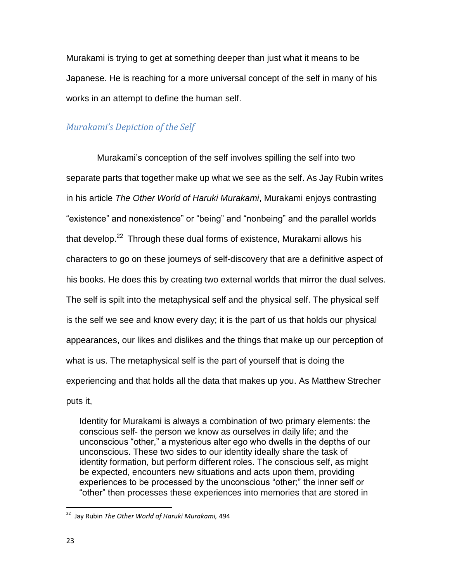Murakami is trying to get at something deeper than just what it means to be Japanese. He is reaching for a more universal concept of the self in many of his works in an attempt to define the human self.

# <span id="page-22-0"></span>*Murakami's Depiction of the Self*

Murakami's conception of the self involves spilling the self into two separate parts that together make up what we see as the self. As Jay Rubin writes in his article *The Other World of Haruki Murakami*, Murakami enjoys contrasting "existence" and nonexistence" or "being" and "nonbeing" and the parallel worlds that develop.<sup>22</sup> Through these dual forms of existence, Murakami allows his characters to go on these journeys of self-discovery that are a definitive aspect of his books. He does this by creating two external worlds that mirror the dual selves. The self is spilt into the metaphysical self and the physical self. The physical self is the self we see and know every day; it is the part of us that holds our physical appearances, our likes and dislikes and the things that make up our perception of what is us. The metaphysical self is the part of yourself that is doing the experiencing and that holds all the data that makes up you. As Matthew Strecher puts it,

Identity for Murakami is always a combination of two primary elements: the conscious self- the person we know as ourselves in daily life; and the unconscious "other," a mysterious alter ego who dwells in the depths of our unconscious. These two sides to our identity ideally share the task of identity formation, but perform different roles. The conscious self, as might be expected, encounters new situations and acts upon them, providing experiences to be processed by the unconscious "other;" the inner self or "other" then processes these experiences into memories that are stored in

<sup>22</sup> Jay Rubin *The Other World of Haruki Murakami,* 494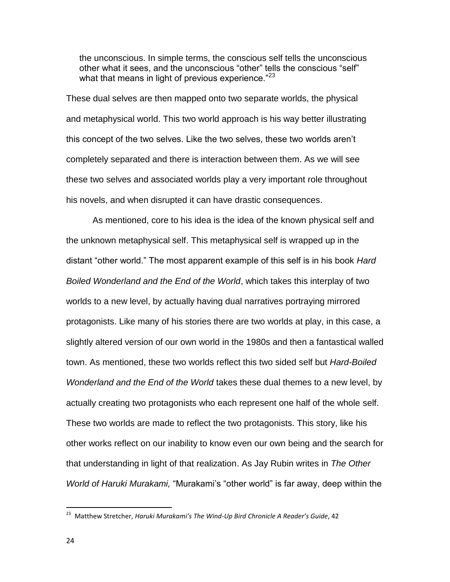the unconscious. In simple terms, the conscious self tells the unconscious other what it sees, and the unconscious "other" tells the conscious "self" what that means in light of previous experience."<sup>23</sup>

These dual selves are then mapped onto two separate worlds, the physical and metaphysical world. This two world approach is his way better illustrating this concept of the two selves. Like the two selves, these two worlds aren't completely separated and there is interaction between them. As we will see these two selves and associated worlds play a very important role throughout his novels, and when disrupted it can have drastic consequences.

As mentioned, core to his idea is the idea of the known physical self and the unknown metaphysical self. This metaphysical self is wrapped up in the distant "other world." The most apparent example of this self is in his book *Hard Boiled Wonderland and the End of the World*, which takes this interplay of two worlds to a new level, by actually having dual narratives portraying mirrored protagonists. Like many of his stories there are two worlds at play, in this case, a slightly altered version of our own world in the 1980s and then a fantastical walled town. As mentioned, these two worlds reflect this two sided self but *Hard-Boiled Wonderland and the End of the World* takes these dual themes to a new level, by actually creating two protagonists who each represent one half of the whole self. These two worlds are made to reflect the two protagonists. This story, like his other works reflect on our inability to know even our own being and the search for that understanding in light of that realization. As Jay Rubin writes in *The Other World of Haruki Murakami,* "Murakami's "other world" is far away, deep within the

<sup>23</sup> Matthew Stretcher, *Haruki Murakami's The Wind-Up Bird Chronicle A Reader's Guide*, 42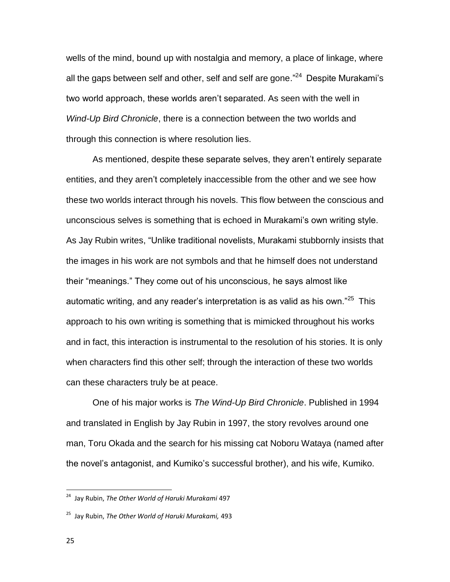wells of the mind, bound up with nostalgia and memory, a place of linkage, where all the gaps between self and other, self and self are gone."<sup>24</sup> Despite Murakami's two world approach, these worlds aren't separated. As seen with the well in *Wind-Up Bird Chronicle*, there is a connection between the two worlds and through this connection is where resolution lies.

As mentioned, despite these separate selves, they aren't entirely separate entities, and they aren't completely inaccessible from the other and we see how these two worlds interact through his novels. This flow between the conscious and unconscious selves is something that is echoed in Murakami's own writing style. As Jay Rubin writes, "Unlike traditional novelists, Murakami stubbornly insists that the images in his work are not symbols and that he himself does not understand their "meanings." They come out of his unconscious, he says almost like automatic writing, and any reader's interpretation is as valid as his own."<sup>25</sup> This approach to his own writing is something that is mimicked throughout his works and in fact, this interaction is instrumental to the resolution of his stories. It is only when characters find this other self; through the interaction of these two worlds can these characters truly be at peace.

One of his major works is *The Wind-Up Bird Chronicle*. Published in 1994 and translated in English by Jay Rubin in 1997, the story revolves around one man, Toru Okada and the search for his missing cat Noboru Wataya (named after the novel's antagonist, and Kumiko's successful brother), and his wife, Kumiko.

<sup>24</sup> Jay Rubin, *The Other World of Haruki Murakami* 497

<sup>25</sup> Jay Rubin, *The Other World of Haruki Murakami,* 493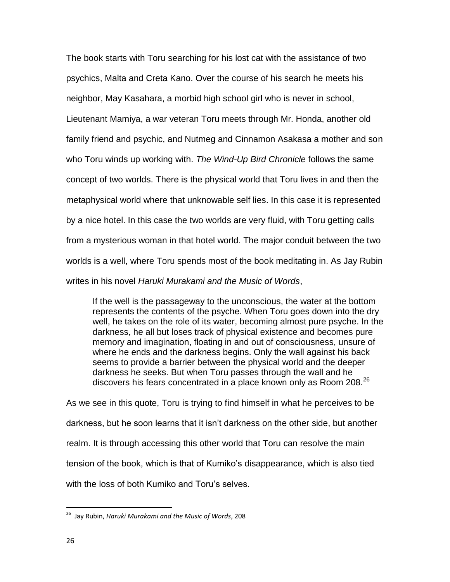The book starts with Toru searching for his lost cat with the assistance of two psychics, Malta and Creta Kano. Over the course of his search he meets his neighbor, May Kasahara, a morbid high school girl who is never in school, Lieutenant Mamiya, a war veteran Toru meets through Mr. Honda, another old family friend and psychic, and Nutmeg and Cinnamon Asakasa a mother and son who Toru winds up working with. *The Wind-Up Bird Chronicle* follows the same concept of two worlds. There is the physical world that Toru lives in and then the metaphysical world where that unknowable self lies. In this case it is represented by a nice hotel. In this case the two worlds are very fluid, with Toru getting calls from a mysterious woman in that hotel world. The major conduit between the two worlds is a well, where Toru spends most of the book meditating in. As Jay Rubin writes in his novel *Haruki Murakami and the Music of Words*,

If the well is the passageway to the unconscious, the water at the bottom represents the contents of the psyche. When Toru goes down into the dry well, he takes on the role of its water, becoming almost pure psyche. In the darkness, he all but loses track of physical existence and becomes pure memory and imagination, floating in and out of consciousness, unsure of where he ends and the darkness begins. Only the wall against his back seems to provide a barrier between the physical world and the deeper darkness he seeks. But when Toru passes through the wall and he discovers his fears concentrated in a place known only as Room 208.<sup>26</sup>

As we see in this quote, Toru is trying to find himself in what he perceives to be darkness, but he soon learns that it isn't darkness on the other side, but another realm. It is through accessing this other world that Toru can resolve the main tension of the book, which is that of Kumiko's disappearance, which is also tied with the loss of both Kumiko and Toru's selves.

<sup>26</sup> Jay Rubin, *Haruki Murakami and the Music of Words*, 208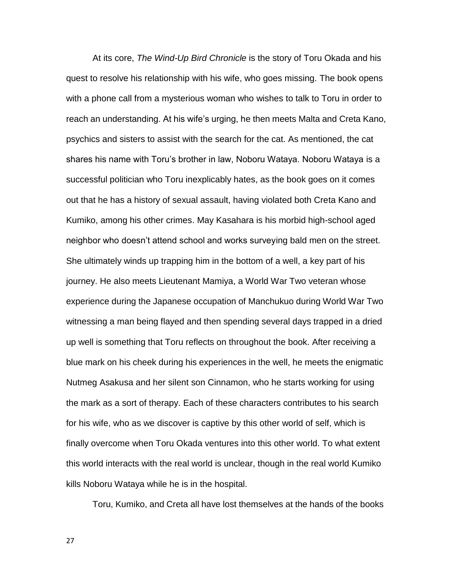At its core, *The Wind-Up Bird Chronicle* is the story of Toru Okada and his quest to resolve his relationship with his wife, who goes missing. The book opens with a phone call from a mysterious woman who wishes to talk to Toru in order to reach an understanding. At his wife's urging, he then meets Malta and Creta Kano, psychics and sisters to assist with the search for the cat. As mentioned, the cat shares his name with Toru's brother in law, Noboru Wataya. Noboru Wataya is a successful politician who Toru inexplicably hates, as the book goes on it comes out that he has a history of sexual assault, having violated both Creta Kano and Kumiko, among his other crimes. May Kasahara is his morbid high-school aged neighbor who doesn't attend school and works surveying bald men on the street. She ultimately winds up trapping him in the bottom of a well, a key part of his journey. He also meets Lieutenant Mamiya, a World War Two veteran whose experience during the Japanese occupation of Manchukuo during World War Two witnessing a man being flayed and then spending several days trapped in a dried up well is something that Toru reflects on throughout the book. After receiving a blue mark on his cheek during his experiences in the well, he meets the enigmatic Nutmeg Asakusa and her silent son Cinnamon, who he starts working for using the mark as a sort of therapy. Each of these characters contributes to his search for his wife, who as we discover is captive by this other world of self, which is finally overcome when Toru Okada ventures into this other world. To what extent this world interacts with the real world is unclear, though in the real world Kumiko kills Noboru Wataya while he is in the hospital.

Toru, Kumiko, and Creta all have lost themselves at the hands of the books

27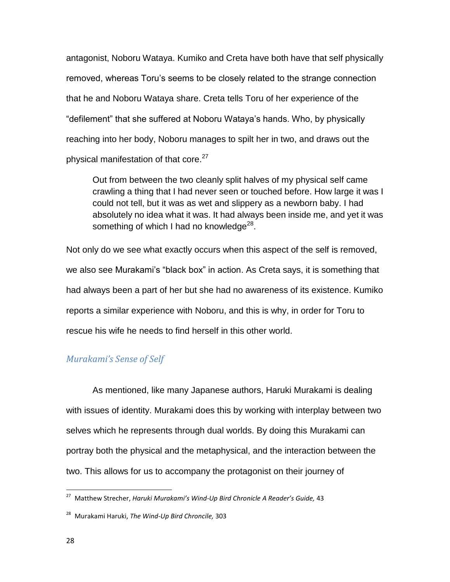antagonist, Noboru Wataya. Kumiko and Creta have both have that self physically removed, whereas Toru's seems to be closely related to the strange connection that he and Noboru Wataya share. Creta tells Toru of her experience of the "defilement" that she suffered at Noboru Wataya's hands. Who, by physically reaching into her body, Noboru manages to spilt her in two, and draws out the physical manifestation of that core.<sup>27</sup>

Out from between the two cleanly split halves of my physical self came crawling a thing that I had never seen or touched before. How large it was I could not tell, but it was as wet and slippery as a newborn baby. I had absolutely no idea what it was. It had always been inside me, and yet it was something of which I had no knowledge $^{28}$ .

Not only do we see what exactly occurs when this aspect of the self is removed, we also see Murakami's "black box" in action. As Creta says, it is something that had always been a part of her but she had no awareness of its existence. Kumiko reports a similar experience with Noboru, and this is why, in order for Toru to rescue his wife he needs to find herself in this other world.

#### <span id="page-27-0"></span>*Murakami's Sense of Self*

As mentioned, like many Japanese authors, Haruki Murakami is dealing with issues of identity. Murakami does this by working with interplay between two selves which he represents through dual worlds. By doing this Murakami can portray both the physical and the metaphysical, and the interaction between the two. This allows for us to accompany the protagonist on their journey of

<sup>27</sup> Matthew Strecher, *Haruki Murakami's Wind-Up Bird Chronicle A Reader's Guide,* 43

<sup>28</sup> Murakami Haruki, *The Wind-Up Bird Chroncile,* 303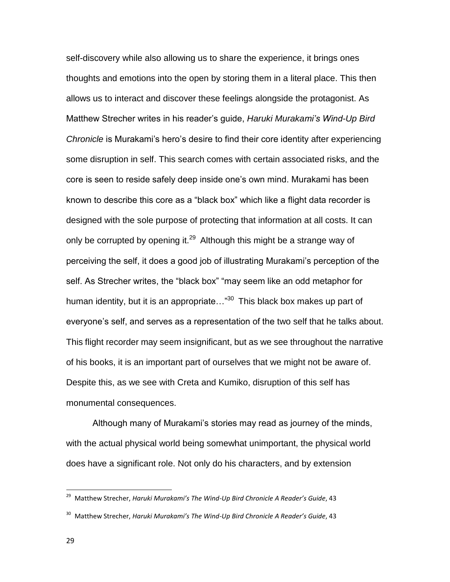self-discovery while also allowing us to share the experience, it brings ones thoughts and emotions into the open by storing them in a literal place. This then allows us to interact and discover these feelings alongside the protagonist. As Matthew Strecher writes in his reader's guide, *Haruki Murakami's Wind-Up Bird Chronicle* is Murakami's hero's desire to find their core identity after experiencing some disruption in self. This search comes with certain associated risks, and the core is seen to reside safely deep inside one's own mind. Murakami has been known to describe this core as a "black box" which like a flight data recorder is designed with the sole purpose of protecting that information at all costs. It can only be corrupted by opening it. $^{29}$  Although this might be a strange way of perceiving the self, it does a good job of illustrating Murakami's perception of the self. As Strecher writes, the "black box" "may seem like an odd metaphor for human identity, but it is an appropriate... $\frac{30}{10}$  This black box makes up part of everyone's self, and serves as a representation of the two self that he talks about. This flight recorder may seem insignificant, but as we see throughout the narrative of his books, it is an important part of ourselves that we might not be aware of. Despite this, as we see with Creta and Kumiko, disruption of this self has monumental consequences.

Although many of Murakami's stories may read as journey of the minds, with the actual physical world being somewhat unimportant, the physical world does have a significant role. Not only do his characters, and by extension

<sup>29</sup> Matthew Strecher, *Haruki Murakami's The Wind-Up Bird Chronicle A Reader's Guide*, 43

<sup>30</sup> Matthew Strecher, *Haruki Murakami's The Wind-Up Bird Chronicle A Reader's Guide*, 43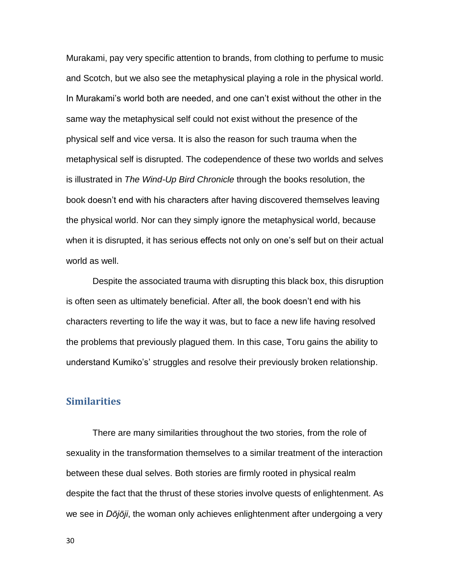Murakami, pay very specific attention to brands, from clothing to perfume to music and Scotch, but we also see the metaphysical playing a role in the physical world. In Murakami's world both are needed, and one can't exist without the other in the same way the metaphysical self could not exist without the presence of the physical self and vice versa. It is also the reason for such trauma when the metaphysical self is disrupted. The codependence of these two worlds and selves is illustrated in *The Wind-Up Bird Chronicle* through the books resolution, the book doesn't end with his characters after having discovered themselves leaving the physical world. Nor can they simply ignore the metaphysical world, because when it is disrupted, it has serious effects not only on one's self but on their actual world as well.

Despite the associated trauma with disrupting this black box, this disruption is often seen as ultimately beneficial. After all, the book doesn't end with his characters reverting to life the way it was, but to face a new life having resolved the problems that previously plagued them. In this case, Toru gains the ability to understand Kumiko's' struggles and resolve their previously broken relationship.

# <span id="page-29-0"></span>**Similarities**

There are many similarities throughout the two stories, from the role of sexuality in the transformation themselves to a similar treatment of the interaction between these dual selves. Both stories are firmly rooted in physical realm despite the fact that the thrust of these stories involve quests of enlightenment. As we see in *Dōjōji*, the woman only achieves enlightenment after undergoing a very

30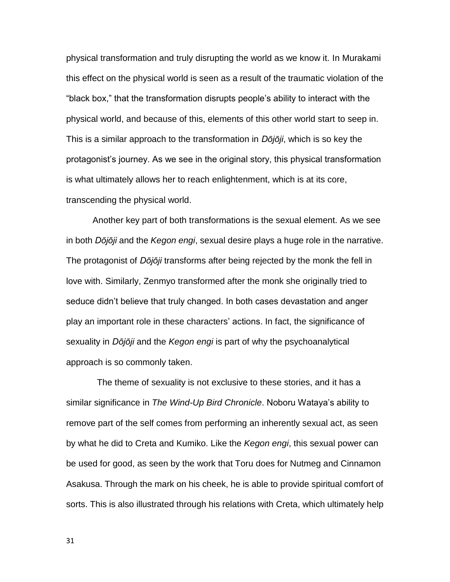physical transformation and truly disrupting the world as we know it. In Murakami this effect on the physical world is seen as a result of the traumatic violation of the "black box," that the transformation disrupts people's ability to interact with the physical world, and because of this, elements of this other world start to seep in. This is a similar approach to the transformation in *Dōjōji*, which is so key the protagonist's journey. As we see in the original story, this physical transformation is what ultimately allows her to reach enlightenment, which is at its core, transcending the physical world.

Another key part of both transformations is the sexual element. As we see in both *Dōjōji* and the *Kegon engi*, sexual desire plays a huge role in the narrative. The protagonist of *Dōjōji* transforms after being rejected by the monk the fell in love with. Similarly, Zenmyo transformed after the monk she originally tried to seduce didn't believe that truly changed. In both cases devastation and anger play an important role in these characters' actions. In fact, the significance of sexuality in *Dōjōji* and the *Kegon engi* is part of why the psychoanalytical approach is so commonly taken.

The theme of sexuality is not exclusive to these stories, and it has a similar significance in *The Wind-Up Bird Chronicle*. Noboru Wataya's ability to remove part of the self comes from performing an inherently sexual act, as seen by what he did to Creta and Kumiko. Like the *Kegon engi*, this sexual power can be used for good, as seen by the work that Toru does for Nutmeg and Cinnamon Asakusa. Through the mark on his cheek, he is able to provide spiritual comfort of sorts. This is also illustrated through his relations with Creta, which ultimately help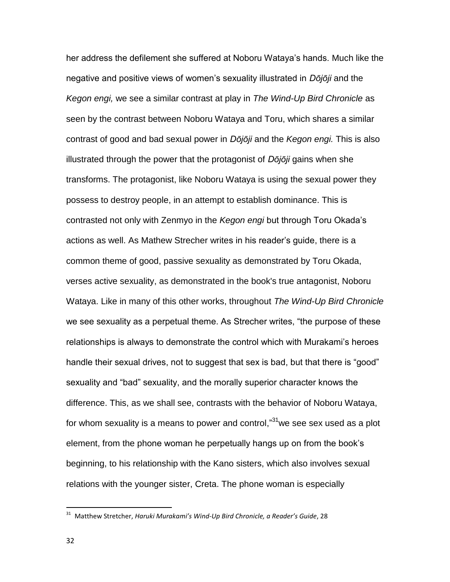her address the defilement she suffered at Noboru Wataya's hands. Much like the negative and positive views of women's sexuality illustrated in *Dōjōji* and the *Kegon engi,* we see a similar contrast at play in *The Wind-Up Bird Chronicle* as seen by the contrast between Noboru Wataya and Toru, which shares a similar contrast of good and bad sexual power in *Dōjōji* and the *Kegon engi.* This is also illustrated through the power that the protagonist of *Dōjōji* gains when she transforms. The protagonist, like Noboru Wataya is using the sexual power they possess to destroy people, in an attempt to establish dominance. This is contrasted not only with Zenmyo in the *Kegon engi* but through Toru Okada's actions as well. As Mathew Strecher writes in his reader's guide, there is a common theme of good, passive sexuality as demonstrated by Toru Okada, verses active sexuality, as demonstrated in the book's true antagonist, Noboru Wataya. Like in many of this other works, throughout *The Wind-Up Bird Chronicle* we see sexuality as a perpetual theme. As Strecher writes, "the purpose of these relationships is always to demonstrate the control which with Murakami's heroes handle their sexual drives, not to suggest that sex is bad, but that there is "good" sexuality and "bad" sexuality, and the morally superior character knows the difference. This, as we shall see, contrasts with the behavior of Noboru Wataya, for whom sexuality is a means to power and control, $"31$ we see sex used as a plot element, from the phone woman he perpetually hangs up on from the book's beginning, to his relationship with the Kano sisters, which also involves sexual relations with the younger sister, Creta. The phone woman is especially

<sup>31</sup> Matthew Stretcher, *Haruki Murakami's Wind-Up Bird Chronicle, a Reader's Guide*, 28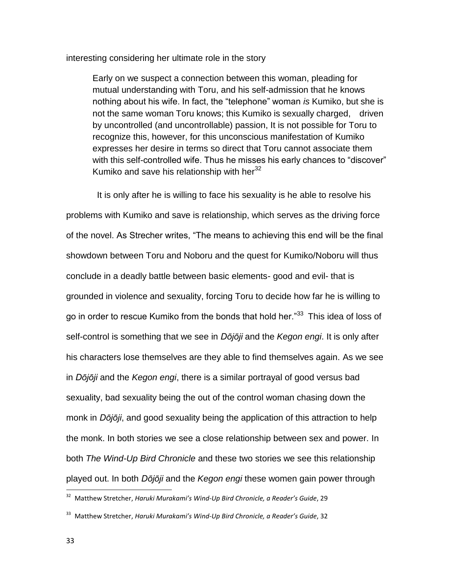interesting considering her ultimate role in the story

Early on we suspect a connection between this woman, pleading for mutual understanding with Toru, and his self-admission that he knows nothing about his wife. In fact, the "telephone" woman *is* Kumiko, but she is not the same woman Toru knows; this Kumiko is sexually charged, driven by uncontrolled (and uncontrollable) passion, It is not possible for Toru to recognize this, however, for this unconscious manifestation of Kumiko expresses her desire in terms so direct that Toru cannot associate them with this self-controlled wife. Thus he misses his early chances to "discover" Kumiko and save his relationship with her $^{32}$ 

It is only after he is willing to face his sexuality is he able to resolve his problems with Kumiko and save is relationship, which serves as the driving force of the novel. As Strecher writes, "The means to achieving this end will be the final showdown between Toru and Noboru and the quest for Kumiko/Noboru will thus conclude in a deadly battle between basic elements- good and evil- that is grounded in violence and sexuality, forcing Toru to decide how far he is willing to go in order to rescue Kumiko from the bonds that hold her."<sup>33</sup> This idea of loss of self-control is something that we see in *Dōjōji* and the *Kegon engi*. It is only after his characters lose themselves are they able to find themselves again. As we see in *Dōjōji* and the *Kegon engi*, there is a similar portrayal of good versus bad sexuality, bad sexuality being the out of the control woman chasing down the monk in *Dōjōji*, and good sexuality being the application of this attraction to help the monk. In both stories we see a close relationship between sex and power. In both *The Wind-Up Bird Chronicle* and these two stories we see this relationship played out. In both *Dōjōji* and the *Kegon engi* these women gain power through

<sup>32</sup> Matthew Stretcher, *Haruki Murakami's Wind-Up Bird Chronicle, a Reader's Guide*, 29

<sup>33</sup> Matthew Stretcher, *Haruki Murakami's Wind-Up Bird Chronicle, a Reader's Guide*, 32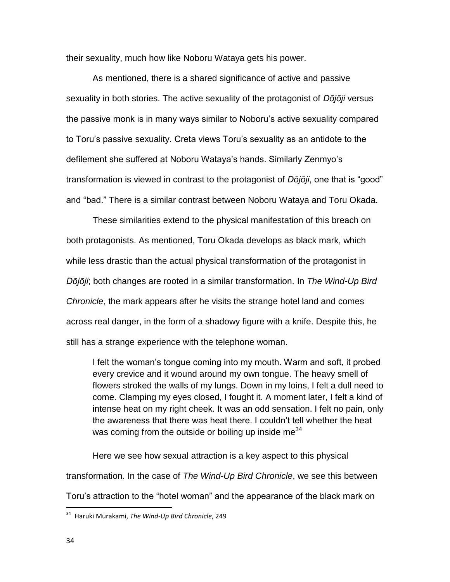their sexuality, much how like Noboru Wataya gets his power.

As mentioned, there is a shared significance of active and passive sexuality in both stories. The active sexuality of the protagonist of *Dōjōji* versus the passive monk is in many ways similar to Noboru's active sexuality compared to Toru's passive sexuality. Creta views Toru's sexuality as an antidote to the defilement she suffered at Noboru Wataya's hands. Similarly Zenmyo's transformation is viewed in contrast to the protagonist of *Dōjōji*, one that is "good" and "bad." There is a similar contrast between Noboru Wataya and Toru Okada.

These similarities extend to the physical manifestation of this breach on both protagonists. As mentioned, Toru Okada develops as black mark, which while less drastic than the actual physical transformation of the protagonist in *Dōjōji*; both changes are rooted in a similar transformation. In *The Wind-Up Bird Chronicle*, the mark appears after he visits the strange hotel land and comes across real danger, in the form of a shadowy figure with a knife. Despite this, he still has a strange experience with the telephone woman.

I felt the woman's tongue coming into my mouth. Warm and soft, it probed every crevice and it wound around my own tongue. The heavy smell of flowers stroked the walls of my lungs. Down in my loins, I felt a dull need to come. Clamping my eyes closed, I fought it. A moment later, I felt a kind of intense heat on my right cheek. It was an odd sensation. I felt no pain, only the awareness that there was heat there. I couldn't tell whether the heat was coming from the outside or boiling up inside me<sup>34</sup>

Here we see how sexual attraction is a key aspect to this physical transformation. In the case of *The Wind-Up Bird Chronicle*, we see this between Toru's attraction to the "hotel woman" and the appearance of the black mark on

<sup>34</sup> Haruki Murakami, *The Wind-Up Bird Chronicle*, 249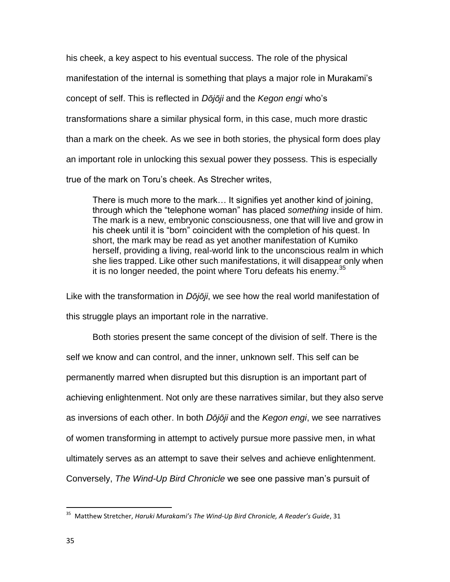his cheek, a key aspect to his eventual success. The role of the physical manifestation of the internal is something that plays a major role in Murakami's concept of self. This is reflected in *Dōjōji* and the *Kegon engi* who's transformations share a similar physical form, in this case, much more drastic than a mark on the cheek. As we see in both stories, the physical form does play an important role in unlocking this sexual power they possess. This is especially true of the mark on Toru's cheek. As Strecher writes,

There is much more to the mark… It signifies yet another kind of joining, through which the "telephone woman" has placed *something* inside of him. The mark is a new, embryonic consciousness, one that will live and grow in his cheek until it is "born" coincident with the completion of his quest. In short, the mark may be read as yet another manifestation of Kumiko herself, providing a living, real-world link to the unconscious realm in which she lies trapped. Like other such manifestations, it will disappear only when it is no longer needed, the point where Toru defeats his enemy.  $35$ 

Like with the transformation in *Dōjōji*, we see how the real world manifestation of this struggle plays an important role in the narrative.

Both stories present the same concept of the division of self. There is the self we know and can control, and the inner, unknown self. This self can be permanently marred when disrupted but this disruption is an important part of achieving enlightenment. Not only are these narratives similar, but they also serve as inversions of each other. In both *Dōjōji* and the *Kegon engi*, we see narratives of women transforming in attempt to actively pursue more passive men, in what ultimately serves as an attempt to save their selves and achieve enlightenment. Conversely, *The Wind-Up Bird Chronicle* we see one passive man's pursuit of

<sup>35</sup> Matthew Stretcher, *Haruki Murakami's The Wind-Up Bird Chronicle, A Reader's Guide*, 31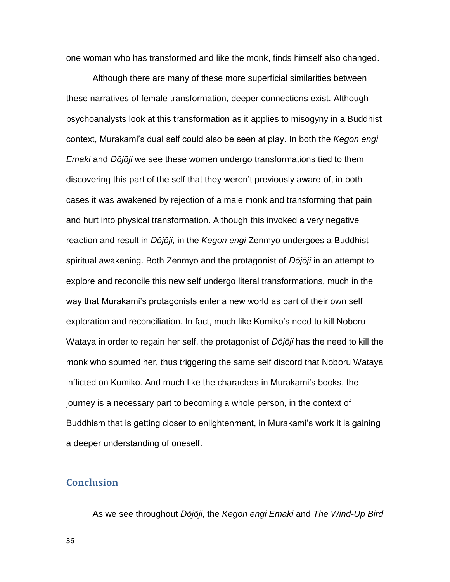one woman who has transformed and like the monk, finds himself also changed.

Although there are many of these more superficial similarities between these narratives of female transformation, deeper connections exist. Although psychoanalysts look at this transformation as it applies to misogyny in a Buddhist context, Murakami's dual self could also be seen at play. In both the *Kegon engi Emaki* and *Dōjōji* we see these women undergo transformations tied to them discovering this part of the self that they weren't previously aware of, in both cases it was awakened by rejection of a male monk and transforming that pain and hurt into physical transformation. Although this invoked a very negative reaction and result in *Dōjōji,* in the *Kegon engi* Zenmyo undergoes a Buddhist spiritual awakening. Both Zenmyo and the protagonist of *Dōjōji* in an attempt to explore and reconcile this new self undergo literal transformations, much in the way that Murakami's protagonists enter a new world as part of their own self exploration and reconciliation. In fact, much like Kumiko's need to kill Noboru Wataya in order to regain her self, the protagonist of *Dōjōji* has the need to kill the monk who spurned her, thus triggering the same self discord that Noboru Wataya inflicted on Kumiko. And much like the characters in Murakami's books, the journey is a necessary part to becoming a whole person, in the context of Buddhism that is getting closer to enlightenment, in Murakami's work it is gaining a deeper understanding of oneself.

# <span id="page-35-0"></span>**Conclusion**

As we see throughout *Dōjōji*, the *Kegon engi Emaki* and *The Wind-Up Bird* 

36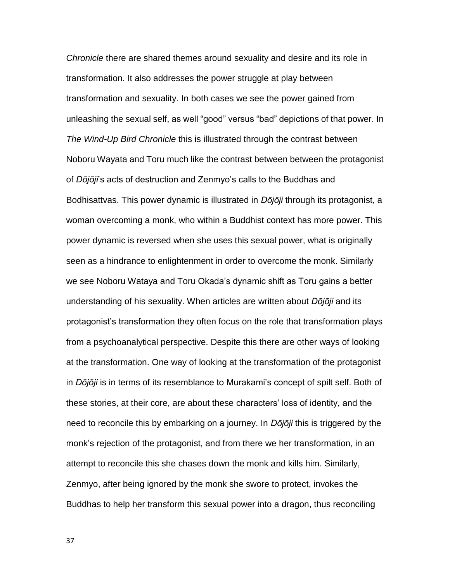*Chronicle* there are shared themes around sexuality and desire and its role in transformation. It also addresses the power struggle at play between transformation and sexuality. In both cases we see the power gained from unleashing the sexual self, as well "good" versus "bad" depictions of that power. In *The Wind-Up Bird Chronicle* this is illustrated through the contrast between Noboru Wayata and Toru much like the contrast between between the protagonist of *Dōjōji*'s acts of destruction and Zenmyo's calls to the Buddhas and Bodhisattvas. This power dynamic is illustrated in *Dōjōji* through its protagonist, a woman overcoming a monk, who within a Buddhist context has more power. This power dynamic is reversed when she uses this sexual power, what is originally seen as a hindrance to enlightenment in order to overcome the monk. Similarly we see Noboru Wataya and Toru Okada's dynamic shift as Toru gains a better understanding of his sexuality. When articles are written about *Dōjōji* and its protagonist's transformation they often focus on the role that transformation plays from a psychoanalytical perspective. Despite this there are other ways of looking at the transformation. One way of looking at the transformation of the protagonist in *Dōjōji* is in terms of its resemblance to Murakami's concept of spilt self. Both of these stories, at their core, are about these characters' loss of identity, and the need to reconcile this by embarking on a journey. In *Dōjōji* this is triggered by the monk's rejection of the protagonist, and from there we her transformation, in an attempt to reconcile this she chases down the monk and kills him. Similarly, Zenmyo, after being ignored by the monk she swore to protect, invokes the Buddhas to help her transform this sexual power into a dragon, thus reconciling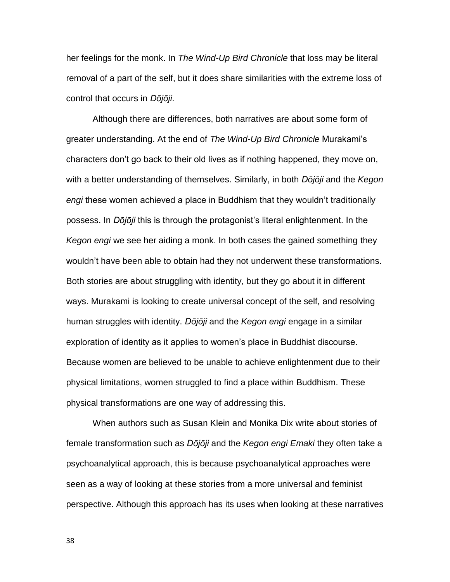her feelings for the monk. In *The Wind-Up Bird Chronicle* that loss may be literal removal of a part of the self, but it does share similarities with the extreme loss of control that occurs in *Dōjōji*.

Although there are differences, both narratives are about some form of greater understanding. At the end of *The Wind-Up Bird Chronicle* Murakami's characters don't go back to their old lives as if nothing happened, they move on, with a better understanding of themselves. Similarly, in both *Dōjōji* and the *Kegon engi* these women achieved a place in Buddhism that they wouldn't traditionally possess. In *Dōjōji* this is through the protagonist's literal enlightenment. In the *Kegon engi* we see her aiding a monk. In both cases the gained something they wouldn't have been able to obtain had they not underwent these transformations. Both stories are about struggling with identity, but they go about it in different ways. Murakami is looking to create universal concept of the self, and resolving human struggles with identity. *Dōjōji* and the *Kegon engi* engage in a similar exploration of identity as it applies to women's place in Buddhist discourse. Because women are believed to be unable to achieve enlightenment due to their physical limitations, women struggled to find a place within Buddhism. These physical transformations are one way of addressing this.

When authors such as Susan Klein and Monika Dix write about stories of female transformation such as *Dōjōji* and the *Kegon engi Emaki* they often take a psychoanalytical approach, this is because psychoanalytical approaches were seen as a way of looking at these stories from a more universal and feminist perspective. Although this approach has its uses when looking at these narratives

38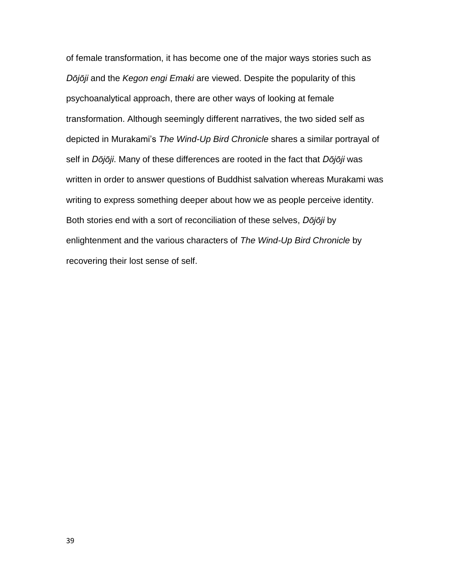of female transformation, it has become one of the major ways stories such as *Dōjōji* and the *Kegon engi Emaki* are viewed. Despite the popularity of this psychoanalytical approach, there are other ways of looking at female transformation. Although seemingly different narratives, the two sided self as depicted in Murakami's *The Wind-Up Bird Chronicle* shares a similar portrayal of self in *Dōjōji*. Many of these differences are rooted in the fact that *Dōjōji* was written in order to answer questions of Buddhist salvation whereas Murakami was writing to express something deeper about how we as people perceive identity. Both stories end with a sort of reconciliation of these selves, *Dōjōji* by enlightenment and the various characters of *The Wind-Up Bird Chronicle* by recovering their lost sense of self.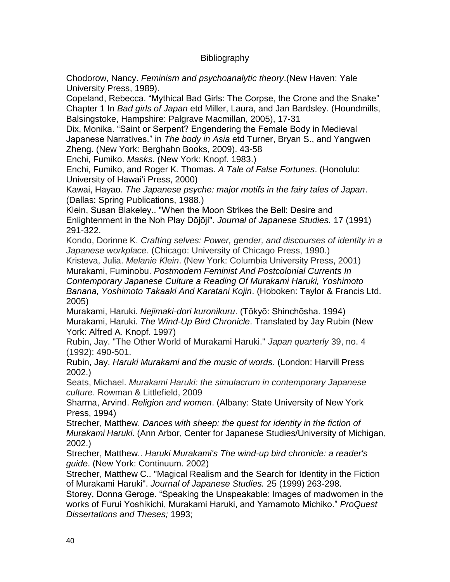# Bibliography

Chodorow, Nancy. *Feminism and psychoanalytic theory*.(New Haven: Yale University Press, 1989).

Copeland, Rebecca. "Mythical Bad Girls: The Corpse, the Crone and the Snake" Chapter 1 In *Bad girls of Japan* etd Miller, Laura, and Jan Bardsley. (Houndmills, Balsingstoke, Hampshire: Palgrave Macmillan, 2005), 17-31

Dix, Monika. "Saint or Serpent? Engendering the Female Body in Medieval Japanese Narratives." in *The body in Asia* etd Turner, Bryan S., and Yangwen Zheng. (New York: Berghahn Books, 2009). 43-58

Enchi, Fumiko. *Masks*. (New York: Knopf. 1983.)

Enchi, Fumiko, and Roger K. Thomas. *A Tale of False Fortunes*. (Honolulu: University of Hawai'i Press, 2000)

Kawai, Hayao. *The Japanese psyche: major motifs in the fairy tales of Japan*. (Dallas: Spring Publications, 1988.)

Klein, Susan Blakeley.. When the Moon Strikes the Bell: Desire and Enlightenment in the Noh Play Dōjōji . *Journal of Japanese Studies.* 17 (1991) 291-322.

Kondo, Dorinne K. *Crafting selves: Power, gender, and discourses of identity in a Japanese workplace*. (Chicago: University of Chicago Press, 1990.)

Kristeva, Julia. *Melanie Klein*. (New York: Columbia University Press, 2001) Murakami, Fuminobu. *Postmodern Feminist And Postcolonial Currents In Contemporary Japanese Culture a Reading Of Murakami Haruki, Yoshimoto Banana, Yoshimoto Takaaki And Karatani Kojin*. (Hoboken: Taylor & Francis Ltd. 2005)

Murakami, Haruki. *Nejimaki-dori kuronikuru*. (Tōkyō: Shinchōsha. 1994) Murakami, Haruki. *The Wind-Up Bird Chronicle*. Translated by Jay Rubin (New York: Alfred A. Knopf. 1997)

Rubin, Jay. "The Other World of Murakami Haruki." *Japan quarterly* 39, no. 4 (1992): 490-501.

Rubin, Jay. *Haruki Murakami and the music of words*. (London: Harvill Press 2002.)

Seats, Michael. *Murakami Haruki: the simulacrum in contemporary Japanese culture*. Rowman & Littlefield, 2009

Sharma, Arvind. *Religion and women*. (Albany: State University of New York Press, 1994)

Strecher, Matthew. *Dances with sheep: the quest for identity in the fiction of Murakami Haruki*. (Ann Arbor, Center for Japanese Studies/University of Michigan, 2002.)

Strecher, Matthew.. *Haruki Murakami's The wind-up bird chronicle: a reader's guide*. (New York: Continuum. 2002)

Strecher, Matthew C.. "Magical Realism and the Search for Identity in the Fiction of Murakami Haruki". *Journal of Japanese Studies.* 25 (1999) 263-298.

Storey, Donna Geroge. "Speaking the Unspeakable: Images of madwomen in the works of Furui Yoshikichi, Murakami Haruki, and Yamamoto Michiko." *ProQuest Dissertations and Theses;* 1993;